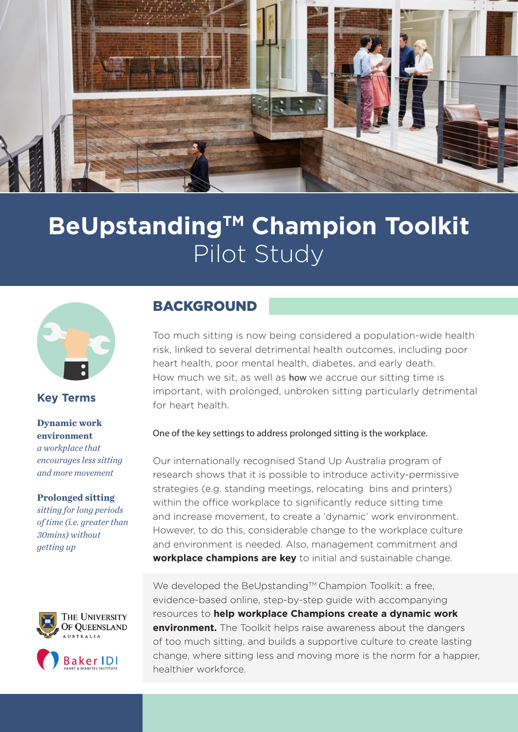

# **BeUpstanding™ Champion Toolkit** Pilot Study



## **Key Terms**

**Dynamic work environment** *a workplace that encourages less sitting and more movement* 

#### **Prolonged sitting**

*sitting for long periods of time (i.e. greater than 30mins) without getting up*



## BACKGROUND

Too much sitting is now being considered a population-wide health risk, linked to several detrimental health outcomes, including poor heart health, poor mental health, diabetes, and early death. How much we sit, as well as how we accrue our sitting time is important, with prolonged, unbroken sitting particularly detrimental for heart health.

## One of the key settings to address prolonged sitting is the workplace.

Our internationally recognised Stand Up Australia program of research shows that it is possible to introduce activity-permissive strategies (e.g. standing meetings, relocating bins and printers) within the office workplace to significantly reduce sitting time and increase movement, to create a 'dynamic' work environment. However, to do this, considerable change to the workplace culture and environment is needed. Also, management commitment and **workplace champions are key** to initial and sustainable change.

We developed the BeUpstanding™ Champion Toolkit: a free, evidence-based online, step-by-step guide with accompanying resources to **help workplace Champions create a dynamic work environment.** The Toolkit helps raise awareness about the dangers of too much sitting, and builds a supportive culture to create lasting change, where sitting less and moving more is the norm for a happier, healthier workforce.